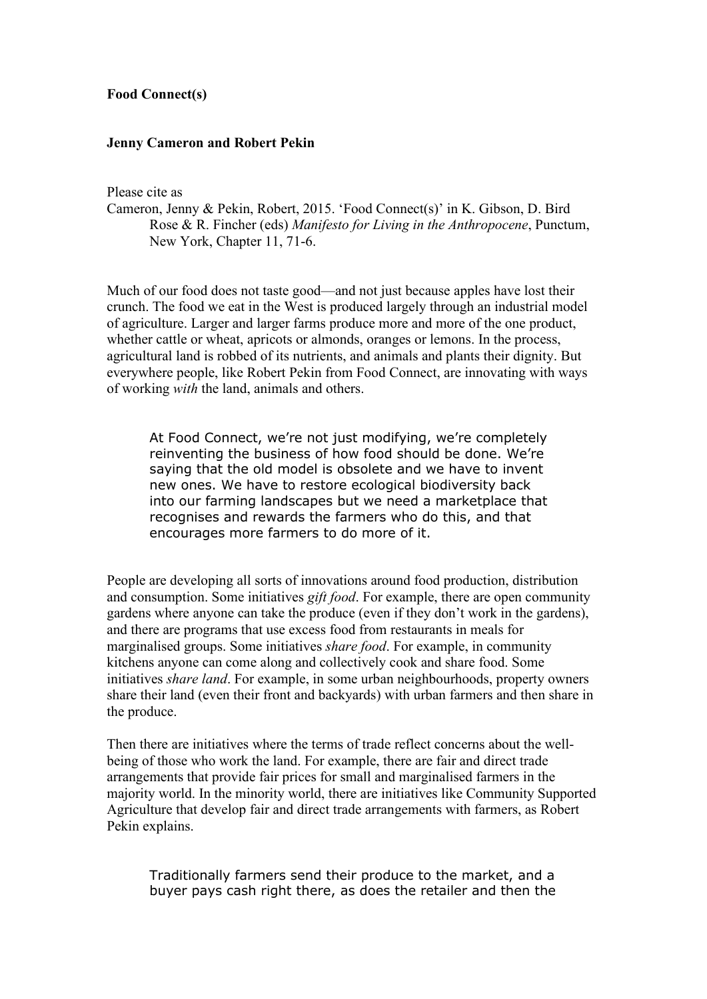## **Food Connect(s)**

## **Jenny Cameron and Robert Pekin**

Please cite as

Cameron, Jenny & Pekin, Robert, 2015. 'Food Connect(s)' in K. Gibson, D. Bird Rose & R. Fincher (eds) *Manifesto for Living in the Anthropocene*, Punctum, New York, Chapter 11, 71-6.

Much of our food does not taste good—and not just because apples have lost their crunch. The food we eat in the West is produced largely through an industrial model of agriculture. Larger and larger farms produce more and more of the one product, whether cattle or wheat, apricots or almonds, oranges or lemons. In the process, agricultural land is robbed of its nutrients, and animals and plants their dignity. But everywhere people, like Robert Pekin from Food Connect, are innovating with ways of working *with* the land, animals and others.

At Food Connect, we're not just modifying, we're completely reinventing the business of how food should be done. We're saying that the old model is obsolete and we have to invent new ones. We have to restore ecological biodiversity back into our farming landscapes but we need a marketplace that recognises and rewards the farmers who do this, and that encourages more farmers to do more of it.

People are developing all sorts of innovations around food production, distribution and consumption. Some initiatives *gift food*. For example, there are open community gardens where anyone can take the produce (even if they don't work in the gardens), and there are programs that use excess food from restaurants in meals for marginalised groups. Some initiatives *share food*. For example, in community kitchens anyone can come along and collectively cook and share food. Some initiatives *share land*. For example, in some urban neighbourhoods, property owners share their land (even their front and backyards) with urban farmers and then share in the produce.

Then there are initiatives where the terms of trade reflect concerns about the wellbeing of those who work the land. For example, there are fair and direct trade arrangements that provide fair prices for small and marginalised farmers in the majority world. In the minority world, there are initiatives like Community Supported Agriculture that develop fair and direct trade arrangements with farmers, as Robert Pekin explains.

Traditionally farmers send their produce to the market, and a buyer pays cash right there, as does the retailer and then the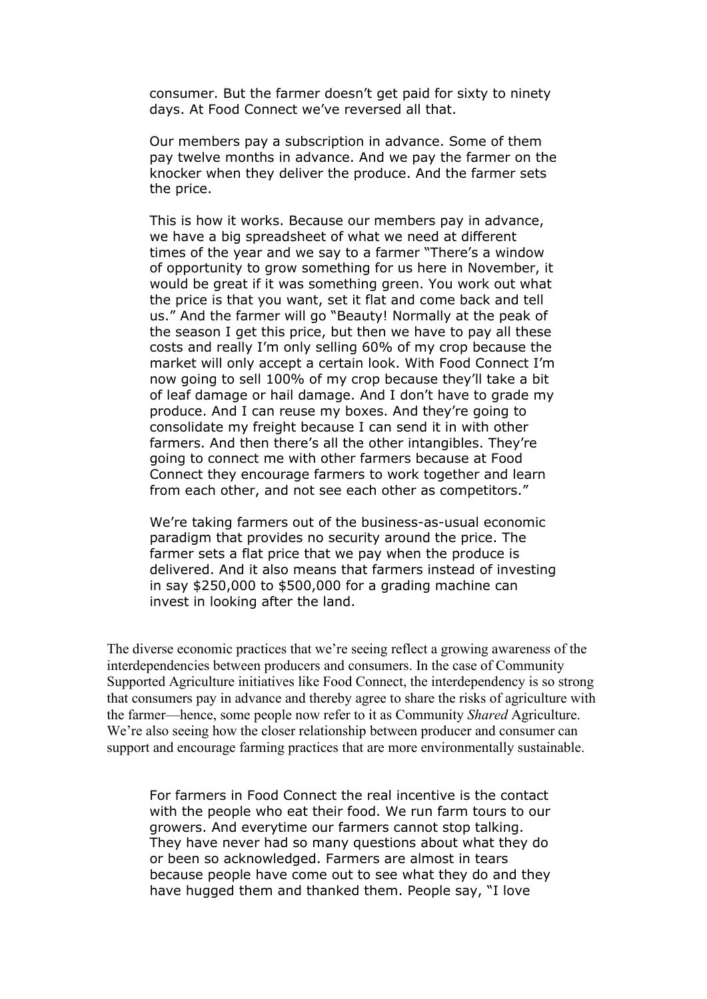consumer. But the farmer doesn't get paid for sixty to ninety days. At Food Connect we've reversed all that.

Our members pay a subscription in advance. Some of them pay twelve months in advance. And we pay the farmer on the knocker when they deliver the produce. And the farmer sets the price.

This is how it works. Because our members pay in advance, we have a big spreadsheet of what we need at different times of the year and we say to a farmer "There's a window of opportunity to grow something for us here in November, it would be great if it was something green. You work out what the price is that you want, set it flat and come back and tell us." And the farmer will go "Beauty! Normally at the peak of the season I get this price, but then we have to pay all these costs and really I'm only selling 60% of my crop because the market will only accept a certain look. With Food Connect I'm now going to sell 100% of my crop because they'll take a bit of leaf damage or hail damage. And I don't have to grade my produce. And I can reuse my boxes. And they're going to consolidate my freight because I can send it in with other farmers. And then there's all the other intangibles. They're going to connect me with other farmers because at Food Connect they encourage farmers to work together and learn from each other, and not see each other as competitors."

We're taking farmers out of the business-as-usual economic paradigm that provides no security around the price. The farmer sets a flat price that we pay when the produce is delivered. And it also means that farmers instead of investing in say \$250,000 to \$500,000 for a grading machine can invest in looking after the land.

The diverse economic practices that we're seeing reflect a growing awareness of the interdependencies between producers and consumers. In the case of Community Supported Agriculture initiatives like Food Connect, the interdependency is so strong that consumers pay in advance and thereby agree to share the risks of agriculture with the farmer—hence, some people now refer to it as Community *Shared* Agriculture. We're also seeing how the closer relationship between producer and consumer can support and encourage farming practices that are more environmentally sustainable.

For farmers in Food Connect the real incentive is the contact with the people who eat their food. We run farm tours to our growers. And everytime our farmers cannot stop talking. They have never had so many questions about what they do or been so acknowledged. Farmers are almost in tears because people have come out to see what they do and they have hugged them and thanked them. People say, "I love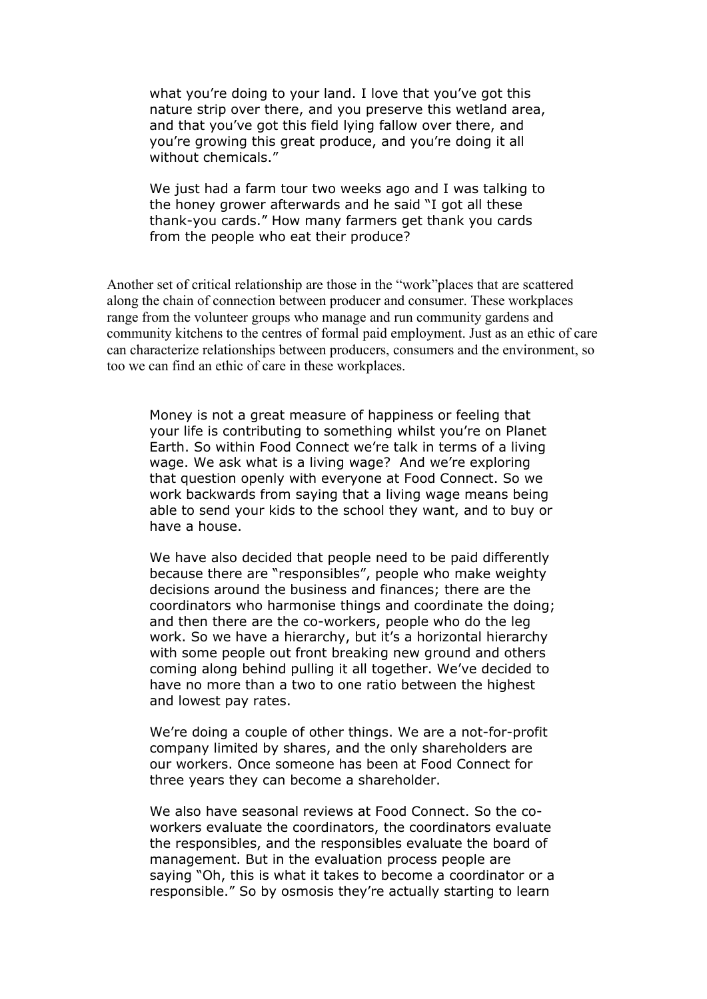what you're doing to your land. I love that you've got this nature strip over there, and you preserve this wetland area, and that you've got this field lying fallow over there, and you're growing this great produce, and you're doing it all without chemicals."

We just had a farm tour two weeks ago and I was talking to the honey grower afterwards and he said "I got all these thank-you cards." How many farmers get thank you cards from the people who eat their produce?

Another set of critical relationship are those in the "work"places that are scattered along the chain of connection between producer and consumer. These workplaces range from the volunteer groups who manage and run community gardens and community kitchens to the centres of formal paid employment. Just as an ethic of care can characterize relationships between producers, consumers and the environment, so too we can find an ethic of care in these workplaces.

Money is not a great measure of happiness or feeling that your life is contributing to something whilst you're on Planet Earth. So within Food Connect we're talk in terms of a living wage. We ask what is a living wage? And we're exploring that question openly with everyone at Food Connect. So we work backwards from saying that a living wage means being able to send your kids to the school they want, and to buy or have a house.

We have also decided that people need to be paid differently because there are "responsibles", people who make weighty decisions around the business and finances; there are the coordinators who harmonise things and coordinate the doing; and then there are the co-workers, people who do the leg work. So we have a hierarchy, but it's a horizontal hierarchy with some people out front breaking new ground and others coming along behind pulling it all together. We've decided to have no more than a two to one ratio between the highest and lowest pay rates.

We're doing a couple of other things. We are a not-for-profit company limited by shares, and the only shareholders are our workers. Once someone has been at Food Connect for three years they can become a shareholder.

We also have seasonal reviews at Food Connect. So the coworkers evaluate the coordinators, the coordinators evaluate the responsibles, and the responsibles evaluate the board of management. But in the evaluation process people are saying "Oh, this is what it takes to become a coordinator or a responsible." So by osmosis they're actually starting to learn